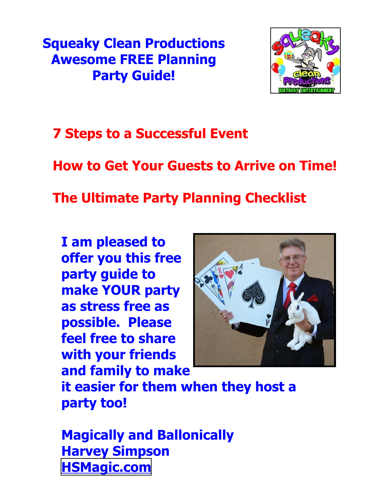**Squeaky Clean Productions Awesome FREE Planning Party Guide!**



**7 Steps to a Successful Event**

**How to Get Your Guests to Arrive on Time!**

**The Ultimate Party Planning Checklist**

**I am pleased to offer you this free party guide to make YOUR party as stress free as possible. Please feel free to share with your friends and family to make**



**it easier for them when they host a party too!**

**Magically and Ballonically Harvey Simpson [HSMagic.com](http://HSMagic.com)**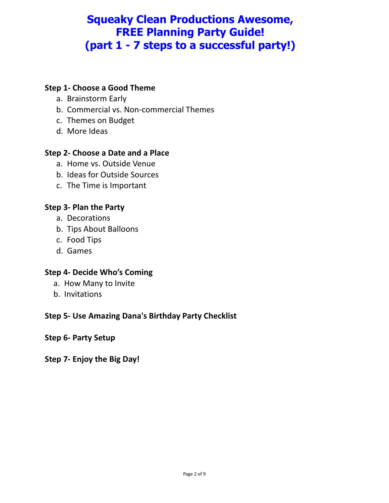## **Squeaky Clean Productions Awesome, FREE Planning Party Guide! (part 1 - 7 steps to a successful party!)**

#### **Step 1- Choose a Good Theme**

- a. Brainstorm Early
- b. Commercial vs. Non-commercial Themes
- c. Themes on Budget
- d. More Ideas

#### **Step 2- Choose a Date and a Place**

- a. Home vs. Outside Venue
- b. Ideas for Outside Sources
- c. The Time is Important

#### **Step 3- Plan the Party**

- a. Decorations
- b. Tips About Balloons
- c. Food Tips
- d. Games

#### **Step 4- Decide Who's Coming**

- a. How Many to Invite
- b. Invitations

#### **Step 5- Use Amazing Dana's Birthday Party Checklist**

#### **Step 6- Party Setup**

**Step 7- Enjoy the Big Day!**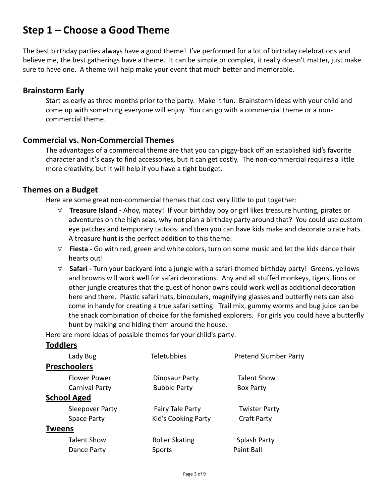## **Step 1 – Choose a Good Theme**

The best birthday parties always have a good theme! I've performed for a lot of birthday celebrations and believe me, the best gatherings have a theme. It can be simple or complex, it really doesn't matter, just make sure to have one. A theme will help make your event that much better and memorable.

#### **Brainstorm Early**

Start as early as three months prior to the party. Make it fun. Brainstorm ideas with your child and come up with something everyone will enjoy. You can go with a commercial theme or a noncommercial theme.

#### **Commercial vs. Non-Commercial Themes**

The advantages of a commercial theme are that you can piggy-back off an established kid's favorite character and it's easy to find accessories, but it can get costly. The non-commercial requires a little more creativity, but it will help if you have a tight budget.

#### **Themes on a Budget**

Here are some great non-commercial themes that cost very little to put together:

- " **Treasure Island -** Ahoy, matey! If your birthday boy or girl likes treasure hunting, pirates or adventures on the high seas, why not plan a birthday party around that? You could use custom eye patches and temporary tattoos. and then you can have kids make and decorate pirate hats. A treasure hunt is the perfect addition to this theme.
- $\forall$  **Fiesta** Go with red, green and white colors, turn on some music and let the kids dance their hearts out!
- " **Safari -** Turn your backyard into a jungle with a safari-themed birthday party! Greens, yellows and browns will work well for safari decorations. Any and all stuffed monkeys, tigers, lions or other jungle creatures that the guest of honor owns could work well as additional decoration here and there. Plastic safari hats, binoculars, magnifying glasses and butterfly nets can also come in handy for creating a true safari setting. Trail mix, gummy worms and bug juice can be the snack combination of choice for the famished explorers. For girls you could have a butterfly hunt by making and hiding them around the house.

Here are more ideas of possible themes for your child's party:

#### **Toddlers**

| Lady Bug               | <b>Teletubbies</b>      | <b>Pretend Slumber Party</b> |
|------------------------|-------------------------|------------------------------|
| <b>Preschoolers</b>    |                         |                              |
| <b>Flower Power</b>    | Dinosaur Party          | <b>Talent Show</b>           |
| Carnival Party         | <b>Bubble Party</b>     | <b>Box Party</b>             |
| <b>School Aged</b>     |                         |                              |
| <b>Sleepover Party</b> | <b>Fairy Tale Party</b> | <b>Twister Party</b>         |
| <b>Space Party</b>     | Kid's Cooking Party     | <b>Craft Party</b>           |
| <b>Tweens</b>          |                         |                              |
| <b>Talent Show</b>     | <b>Roller Skating</b>   | Splash Party                 |
| Dance Party            | Sports                  | Paint Ball                   |
|                        |                         |                              |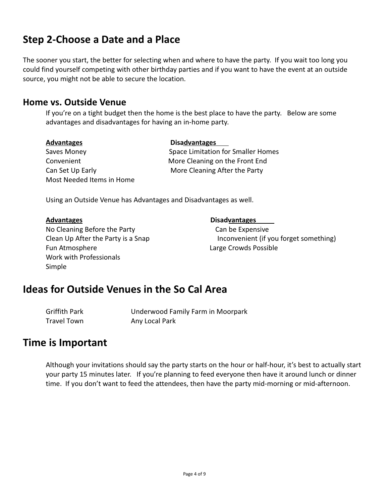## **Step 2-Choose a Date and a Place**

The sooner you start, the better for selecting when and where to have the party. If you wait too long you could find yourself competing with other birthday parties and if you want to have the event at an outside source, you might not be able to secure the location.

#### **Home vs. Outside Venue**

If you're on a tight budget then the home is the best place to have the party. Below are some advantages and disadvantages for having an in-home party.

| <b>Advantages</b>         | <b>Disadvantages</b>                      |  |
|---------------------------|-------------------------------------------|--|
| Saves Money               | <b>Space Limitation for Smaller Homes</b> |  |
| Convenient                | More Cleaning on the Front End            |  |
| Can Set Up Early          | More Cleaning After the Party             |  |
| Most Needed Items in Home |                                           |  |

Using an Outside Venue has Advantages and Disadvantages as well.

| Advantages |
|------------|
|------------|

No Cleaning Before the Party Can be Expensive Fun Atmosphere **Large Crowds Possible** Work with Professionals Simple

**Disadvantages** 

Clean Up After the Party is a Snap Inconvenient (if you forget something)

### **Ideas for Outside Venues in the So Cal Area**

Griffith Park Underwood Family Farm in Moorpark Travel Town Any Local Park

### **Time is Important**

Although your invitations should say the party starts on the hour or half-hour, it's best to actually start your party 15 minutes later. If you're planning to feed everyone then have it around lunch or dinner time. If you don't want to feed the attendees, then have the party mid-morning or mid-afternoon.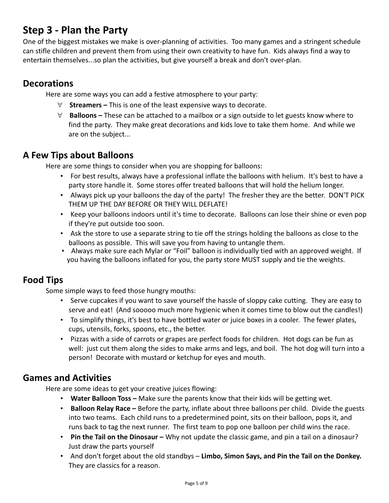## **Step 3 - Plan the Party**

One of the biggest mistakes we make is over-planning of activities. Too many games and a stringent schedule can stifle children and prevent them from using their own creativity to have fun. Kids always find a way to entertain themselves...so plan the activities, but give yourself a break and don't over-plan.

### **Decorations**

Here are some ways you can add a festive atmosphere to your party:

- " **Streamers –** This is one of the least expensive ways to decorate.
- " **Balloons –** These can be attached to a mailbox or a sign outside to let guests know where to find the party. They make great decorations and kids love to take them home. And while we are on the subject...

#### **A Few Tips about Balloons**

Here are some things to consider when you are shopping for balloons:

- For best results, always have a professional inflate the balloons with helium. It's best to have a party store handle it. Some stores offer treated balloons that will hold the helium longer.
- Always pick up your balloons the day of the party! The fresher they are the better. DON'T PICK THEM UP THE DAY BEFORE OR THEY WILL DEFLATE!
- Keep your balloons indoors until it's time to decorate. Balloons can lose their shine or even pop if they're put outside too soon.
- Ask the store to use a separate string to tie off the strings holding the balloons as close to the balloons as possible. This will save you from having to untangle them.
- Always make sure each Mylar or "Foil" balloon is individually tied with an approved weight. If you having the balloons inflated for you, the party store MUST supply and tie the weights.

### **Food Tips**

Some simple ways to feed those hungry mouths:

- Serve cupcakes if you want to save yourself the hassle of sloppy cake cutting. They are easy to serve and eat! (And sooooo much more hygienic when it comes time to blow out the candles!)
- To simplify things, it's best to have bottled water or juice boxes in a cooler. The fewer plates, cups, utensils, forks, spoons, etc., the better.
- Pizzas with a side of carrots or grapes are perfect foods for children. Hot dogs can be fun as well: just cut them along the sides to make arms and legs, and boil. The hot dog will turn into a person! Decorate with mustard or ketchup for eyes and mouth.

### **Games and Activities**

Here are some ideas to get your creative juices flowing:

- **Water Balloon Toss –** Make sure the parents know that their kids will be getting wet.
- **Balloon Relay Race –** Before the party, inflate about three balloons per child. Divide the guests into two teams. Each child runs to a predetermined point, sits on their balloon, pops it, and runs back to tag the next runner. The first team to pop one balloon per child wins the race.
- **Pin the Tail on the Dinosaur –** Why not update the classic game, and pin a tail on a dinosaur? Just draw the parts yourself
- And don't forget about the old standbys **Limbo, Simon Says, and Pin the Tail on the Donkey.**  They are classics for a reason.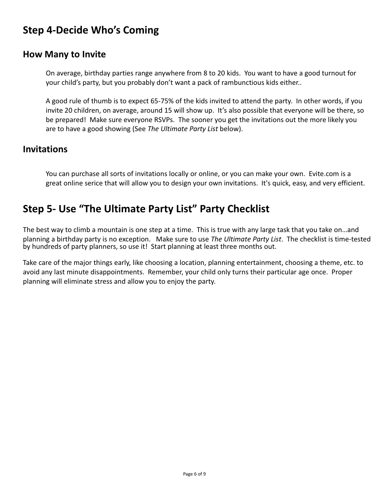## **Step 4-Decide Who's Coming**

#### **How Many to Invite**

On average, birthday parties range anywhere from 8 to 20 kids. You want to have a good turnout for your child's party, but you probably don't want a pack of rambunctious kids either..

A good rule of thumb is to expect 65-75% of the kids invited to attend the party. In other words, if you invite 20 children, on average, around 15 will show up. It's also possible that everyone will be there, so be prepared! Make sure everyone RSVPs. The sooner you get the invitations out the more likely you are to have a good showing (See *The Ultimate Party List* below).

#### **Invitations**

You can purchase all sorts of invitations locally or online, or you can make your own. Evite.com is a great online serice that will allow you to design your own invitations. It's quick, easy, and very efficient.

## **Step 5- Use "The Ultimate Party List" Party Checklist**

The best way to climb a mountain is one step at a time. This is true with any large task that you take on…and planning a birthday party is no exception. Make sure to use *The Ultimate Party List*. The checklist is time-tested by hundreds of party planners, so use it! Start planning at least three months out.

Take care of the major things early, like choosing a location, planning entertainment, choosing a theme, etc. to avoid any last minute disappointments. Remember, your child only turns their particular age once. Proper planning will eliminate stress and allow you to enjoy the party.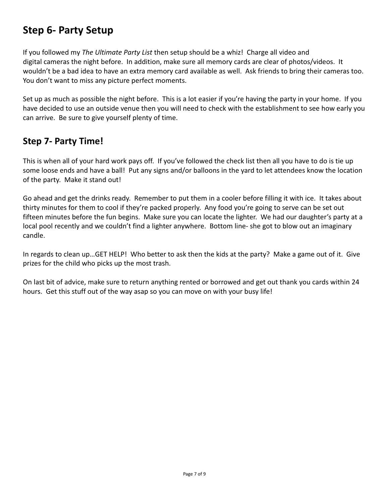## **Step 6- Party Setup**

If you followed my *The Ultimate Party List* then setup should be a whiz! Charge all video and digital cameras the night before. In addition, make sure all memory cards are clear of photos/videos. It wouldn't be a bad idea to have an extra memory card available as well. Ask friends to bring their cameras too. You don't want to miss any picture perfect moments.

Set up as much as possible the night before. This is a lot easier if you're having the party in your home. If you have decided to use an outside venue then you will need to check with the establishment to see how early you can arrive. Be sure to give yourself plenty of time.

#### **Step 7- Party Time!**

This is when all of your hard work pays off. If you've followed the check list then all you have to do is tie up some loose ends and have a ball! Put any signs and/or balloons in the yard to let attendees know the location of the party. Make it stand out!

Go ahead and get the drinks ready. Remember to put them in a cooler before filling it with ice. It takes about thirty minutes for them to cool if they're packed properly. Any food you're going to serve can be set out fifteen minutes before the fun begins. Make sure you can locate the lighter. We had our daughter's party at a local pool recently and we couldn't find a lighter anywhere. Bottom line- she got to blow out an imaginary candle.

In regards to clean up…GET HELP! Who better to ask then the kids at the party? Make a game out of it. Give prizes for the child who picks up the most trash.

On last bit of advice, make sure to return anything rented or borrowed and get out thank you cards within 24 hours. Get this stuff out of the way asap so you can move on with your busy life!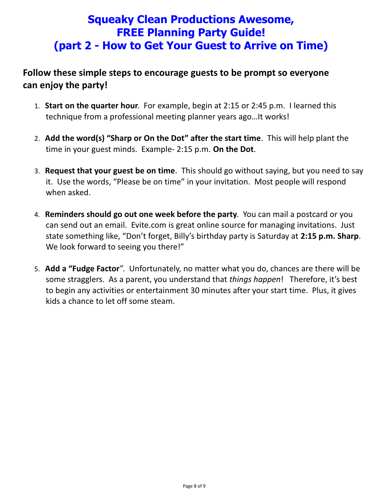## **Squeaky Clean Productions Awesome, FREE Planning Party Guide! (part 2 - How to Get Your Guest to Arrive on Time)**

### **Follow these simple steps to encourage guests to be prompt so everyone can enjoy the party!**

- 1. **Start on the quarter hour**. For example, begin at 2:15 or 2:45 p.m. I learned this technique from a professional meeting planner years ago…It works!
- 2. **Add the word(s) "Sharp or On the Dot" after the start time**. This will help plant the time in your guest minds. Example- 2:15 p.m. **On the Dot**.
- 3. **Request that your guest be on time**. This should go without saying, but you need to say it. Use the words, "Please be on time" in your invitation. Most people will respond when asked.
- 4. **Reminders should go out one week before the party**. You can mail a postcard or you can send out an email. Evite.com is great online source for managing invitations. Just state something like, "Don't forget, Billy's birthday party is Saturday at **2:15 p.m. Sharp**. We look forward to seeing you there!"
- 5. **Add a "Fudge Factor**". Unfortunately, no matter what you do, chances are there will be some stragglers. As a parent, you understand that *things happen*! Therefore, it's best to begin any activities or entertainment 30 minutes after your start time. Plus, it gives kids a chance to let off some steam.